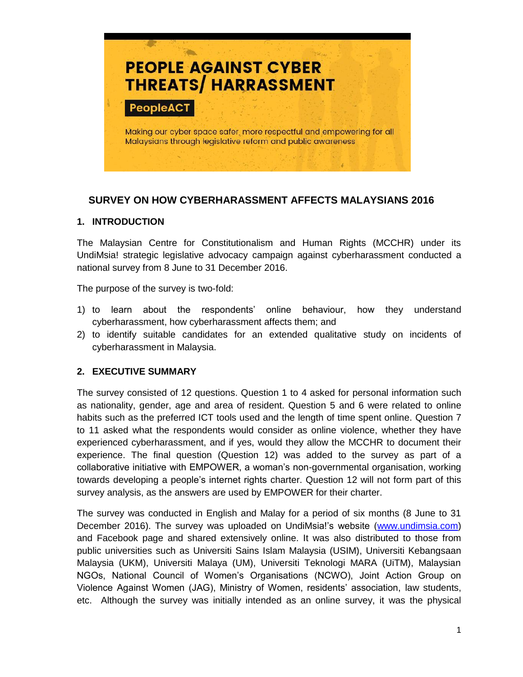

# **SURVEY ON HOW CYBERHARASSMENT AFFECTS MALAYSIANS 2016**

#### **1. INTRODUCTION**

The Malaysian Centre for Constitutionalism and Human Rights (MCCHR) under its UndiMsia! strategic legislative advocacy campaign against cyberharassment conducted a national survey from 8 June to 31 December 2016.

The purpose of the survey is two-fold:

- 1) to learn about the respondents' online behaviour, how they understand cyberharassment, how cyberharassment affects them; and
- 2) to identify suitable candidates for an extended qualitative study on incidents of cyberharassment in Malaysia.

#### **2. EXECUTIVE SUMMARY**

The survey consisted of 12 questions. Question 1 to 4 asked for personal information such as nationality, gender, age and area of resident. Question 5 and 6 were related to online habits such as the preferred ICT tools used and the length of time spent online. Question 7 to 11 asked what the respondents would consider as online violence, whether they have experienced cyberharassment, and if yes, would they allow the MCCHR to document their experience. The final question (Question 12) was added to the survey as part of a collaborative initiative with EMPOWER, a woman's non-governmental organisation, working towards developing a people's internet rights charter. Question 12 will not form part of this survey analysis, as the answers are used by EMPOWER for their charter.

The survey was conducted in English and Malay for a period of six months (8 June to 31 December 2016). The survey was uploaded on UndiMsia!'s website [\(www.undimsia.com\)](http://www.undimsia.com/) and Facebook page and shared extensively online. It was also distributed to those from public universities such as Universiti Sains Islam Malaysia (USIM), Universiti Kebangsaan Malaysia (UKM), Universiti Malaya (UM), Universiti Teknologi MARA (UiTM), Malaysian NGOs, National Council of Women's Organisations (NCWO), Joint Action Group on Violence Against Women (JAG), Ministry of Women, residents' association, law students, etc. Although the survey was initially intended as an online survey, it was the physical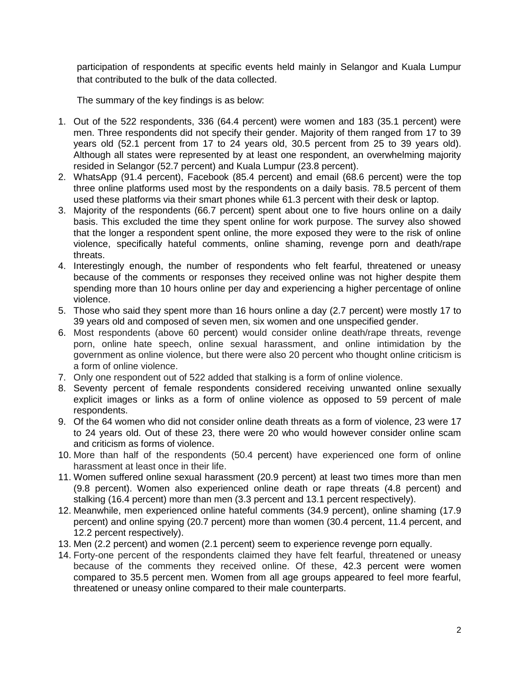participation of respondents at specific events held mainly in Selangor and Kuala Lumpur that contributed to the bulk of the data collected.

The summary of the key findings is as below:

- 1. Out of the 522 respondents, 336 (64.4 percent) were women and 183 (35.1 percent) were men. Three respondents did not specify their gender. Majority of them ranged from 17 to 39 years old (52.1 percent from 17 to 24 years old, 30.5 percent from 25 to 39 years old). Although all states were represented by at least one respondent, an overwhelming majority resided in Selangor (52.7 percent) and Kuala Lumpur (23.8 percent).
- 2. WhatsApp (91.4 percent), Facebook (85.4 percent) and email (68.6 percent) were the top three online platforms used most by the respondents on a daily basis. 78.5 percent of them used these platforms via their smart phones while 61.3 percent with their desk or laptop.
- 3. Majority of the respondents (66.7 percent) spent about one to five hours online on a daily basis. This excluded the time they spent online for work purpose. The survey also showed that the longer a respondent spent online, the more exposed they were to the risk of online violence, specifically hateful comments, online shaming, revenge porn and death/rape threats.
- 4. Interestingly enough, the number of respondents who felt fearful, threatened or uneasy because of the comments or responses they received online was not higher despite them spending more than 10 hours online per day and experiencing a higher percentage of online violence.
- 5. Those who said they spent more than 16 hours online a day (2.7 percent) were mostly 17 to 39 years old and composed of seven men, six women and one unspecified gender.
- 6. Most respondents (above 60 percent) would consider online death/rape threats, revenge porn, online hate speech, online sexual harassment, and online intimidation by the government as online violence, but there were also 20 percent who thought online criticism is a form of online violence.
- 7. Only one respondent out of 522 added that stalking is a form of online violence.
- 8. Seventy percent of female respondents considered receiving unwanted online sexually explicit images or links as a form of online violence as opposed to 59 percent of male respondents.
- 9. Of the 64 women who did not consider online death threats as a form of violence, 23 were 17 to 24 years old. Out of these 23, there were 20 who would however consider online scam and criticism as forms of violence.
- 10. More than half of the respondents (50.4 percent) have experienced one form of online harassment at least once in their life.
- 11. Women suffered online sexual harassment (20.9 percent) at least two times more than men (9.8 percent). Women also experienced online death or rape threats (4.8 percent) and stalking (16.4 percent) more than men (3.3 percent and 13.1 percent respectively).
- 12. Meanwhile, men experienced online hateful comments (34.9 percent), online shaming (17.9 percent) and online spying (20.7 percent) more than women (30.4 percent, 11.4 percent, and 12.2 percent respectively).
- 13. Men (2.2 percent) and women (2.1 percent) seem to experience revenge porn equally.
- 14. Forty-one percent of the respondents claimed they have felt fearful, threatened or uneasy because of the comments they received online. Of these, 42.3 percent were women compared to 35.5 percent men. Women from all age groups appeared to feel more fearful, threatened or uneasy online compared to their male counterparts.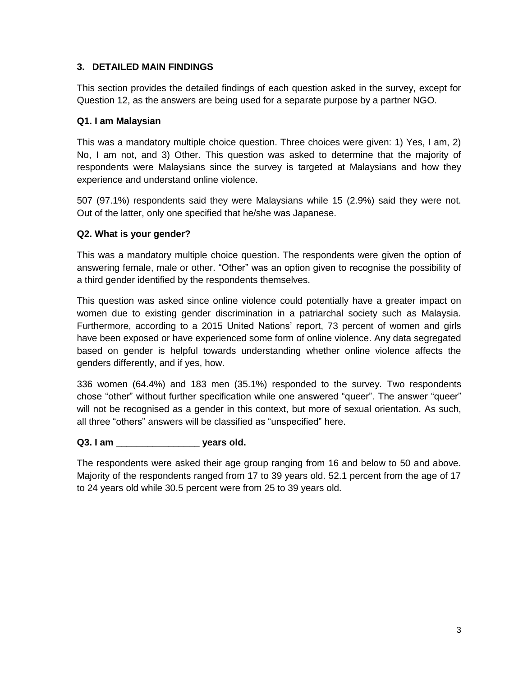# **3. DETAILED MAIN FINDINGS**

This section provides the detailed findings of each question asked in the survey, except for Question 12, as the answers are being used for a separate purpose by a partner NGO.

#### **Q1. I am Malaysian**

This was a mandatory multiple choice question. Three choices were given: 1) Yes, I am, 2) No, I am not, and 3) Other. This question was asked to determine that the majority of respondents were Malaysians since the survey is targeted at Malaysians and how they experience and understand online violence.

507 (97.1%) respondents said they were Malaysians while 15 (2.9%) said they were not. Out of the latter, only one specified that he/she was Japanese.

### **Q2. What is your gender?**

This was a mandatory multiple choice question. The respondents were given the option of answering female, male or other. "Other" was an option given to recognise the possibility of a third gender identified by the respondents themselves.

This question was asked since online violence could potentially have a greater impact on women due to existing gender discrimination in a patriarchal society such as Malaysia. Furthermore, according to a 2015 United Nations' report, 73 percent of women and girls have been exposed or have experienced some form of online violence. Any data segregated based on gender is helpful towards understanding whether online violence affects the genders differently, and if yes, how.

336 women (64.4%) and 183 men (35.1%) responded to the survey. Two respondents chose "other" without further specification while one answered "queer". The answer "queer" will not be recognised as a gender in this context, but more of sexual orientation. As such, all three "others" answers will be classified as "unspecified" here.

**Q3. I am \_\_\_\_\_\_\_\_\_\_\_\_\_\_\_\_ years old.** 

The respondents were asked their age group ranging from 16 and below to 50 and above. Majority of the respondents ranged from 17 to 39 years old. 52.1 percent from the age of 17 to 24 years old while 30.5 percent were from 25 to 39 years old.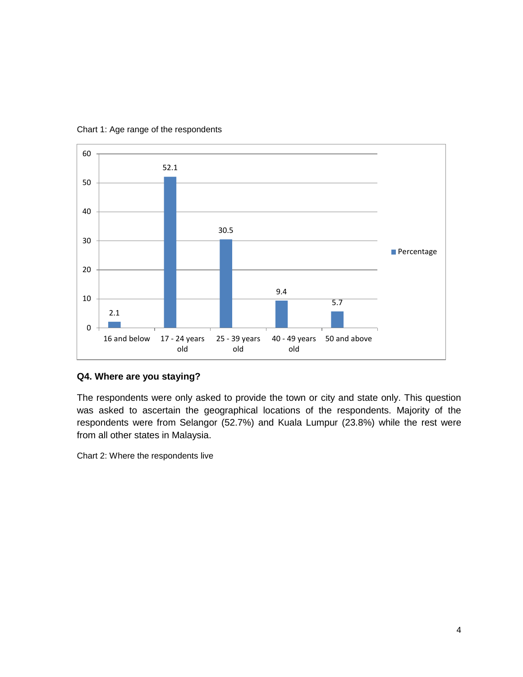

#### Chart 1: Age range of the respondents

#### **Q4. Where are you staying?**

The respondents were only asked to provide the town or city and state only. This question was asked to ascertain the geographical locations of the respondents. Majority of the respondents were from Selangor (52.7%) and Kuala Lumpur (23.8%) while the rest were from all other states in Malaysia.

Chart 2: Where the respondents live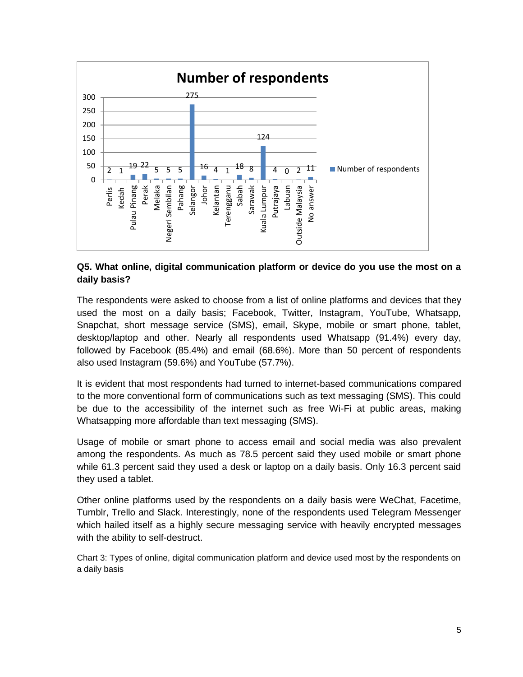

### **Q5. What online, digital communication platform or device do you use the most on a daily basis?**

The respondents were asked to choose from a list of online platforms and devices that they used the most on a daily basis; Facebook, Twitter, Instagram, YouTube, Whatsapp, Snapchat, short message service (SMS), email, Skype, mobile or smart phone, tablet, desktop/laptop and other. Nearly all respondents used Whatsapp (91.4%) every day, followed by Facebook (85.4%) and email (68.6%). More than 50 percent of respondents also used Instagram (59.6%) and YouTube (57.7%).

It is evident that most respondents had turned to internet-based communications compared to the more conventional form of communications such as text messaging (SMS). This could be due to the accessibility of the internet such as free Wi-Fi at public areas, making Whatsapping more affordable than text messaging (SMS).

Usage of mobile or smart phone to access email and social media was also prevalent among the respondents. As much as 78.5 percent said they used mobile or smart phone while 61.3 percent said they used a desk or laptop on a daily basis. Only 16.3 percent said they used a tablet.

Other online platforms used by the respondents on a daily basis were WeChat, Facetime, Tumblr, Trello and Slack. Interestingly, none of the respondents used Telegram Messenger which hailed itself as a highly secure messaging service with heavily encrypted messages with the ability to self-destruct.

Chart 3: Types of online, digital communication platform and device used most by the respondents on a daily basis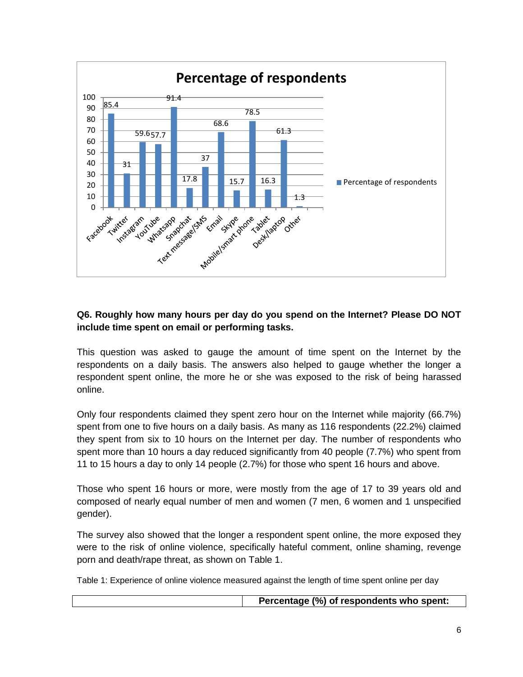

# **Q6. Roughly how many hours per day do you spend on the Internet? Please DO NOT include time spent on email or performing tasks.**

This question was asked to gauge the amount of time spent on the Internet by the respondents on a daily basis. The answers also helped to gauge whether the longer a respondent spent online, the more he or she was exposed to the risk of being harassed online.

Only four respondents claimed they spent zero hour on the Internet while majority (66.7%) spent from one to five hours on a daily basis. As many as 116 respondents (22.2%) claimed they spent from six to 10 hours on the Internet per day. The number of respondents who spent more than 10 hours a day reduced significantly from 40 people (7.7%) who spent from 11 to 15 hours a day to only 14 people (2.7%) for those who spent 16 hours and above.

Those who spent 16 hours or more, were mostly from the age of 17 to 39 years old and composed of nearly equal number of men and women (7 men, 6 women and 1 unspecified gender).

The survey also showed that the longer a respondent spent online, the more exposed they were to the risk of online violence, specifically hateful comment, online shaming, revenge porn and death/rape threat, as shown on Table 1.

Table 1: Experience of online violence measured against the length of time spent online per day

**Percentage (%) of respondents who spent:**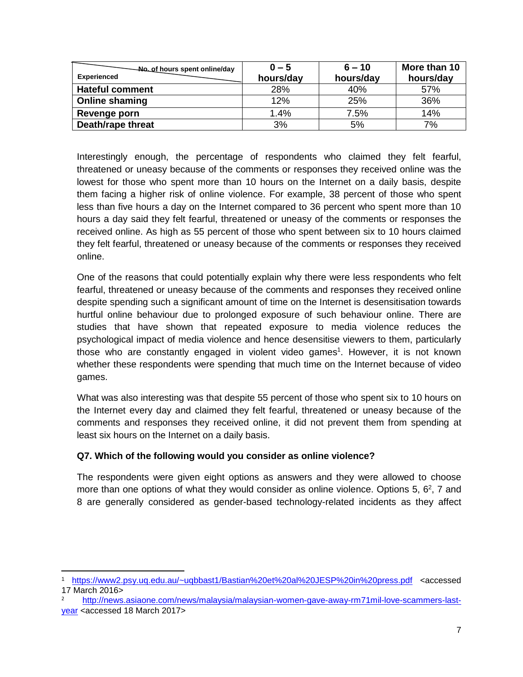| No of hours spent online/day<br><b>Experienced</b> | $0 - 5$<br>hours/day | $6 - 10$<br>hours/day | More than 10<br>hours/day |
|----------------------------------------------------|----------------------|-----------------------|---------------------------|
| <b>Hateful comment</b>                             | 28%                  | 40%                   | 57%                       |
| <b>Online shaming</b>                              | 12%                  | 25%                   | 36%                       |
| Revenge porn                                       | 1.4%                 | 7.5%                  | 14%                       |
| Death/rape threat                                  | 3%                   | 5%                    | 7%                        |

Interestingly enough, the percentage of respondents who claimed they felt fearful, threatened or uneasy because of the comments or responses they received online was the lowest for those who spent more than 10 hours on the Internet on a daily basis, despite them facing a higher risk of online violence. For example, 38 percent of those who spent less than five hours a day on the Internet compared to 36 percent who spent more than 10 hours a day said they felt fearful, threatened or uneasy of the comments or responses the received online. As high as 55 percent of those who spent between six to 10 hours claimed they felt fearful, threatened or uneasy because of the comments or responses they received online.

One of the reasons that could potentially explain why there were less respondents who felt fearful, threatened or uneasy because of the comments and responses they received online despite spending such a significant amount of time on the Internet is desensitisation towards hurtful online behaviour due to prolonged exposure of such behaviour online. There are studies that have shown that repeated exposure to media violence reduces the psychological impact of media violence and hence desensitise viewers to them, particularly those who are constantly engaged in violent video games<sup>1</sup>. However, it is not known whether these respondents were spending that much time on the Internet because of video games.

What was also interesting was that despite 55 percent of those who spent six to 10 hours on the Internet every day and claimed they felt fearful, threatened or uneasy because of the comments and responses they received online, it did not prevent them from spending at least six hours on the Internet on a daily basis.

# **Q7. Which of the following would you consider as online violence?**

 $\overline{\phantom{a}}$ 

The respondents were given eight options as answers and they were allowed to choose more than one options of what they would consider as online violence. Options 5,  $6^2$ , 7 and 8 are generally considered as gender-based technology-related incidents as they affect

<sup>1</sup> <https://www2.psy.uq.edu.au/~uqbbast1/Bastian%20et%20al%20JESP%20in%20press.pdf> <accessed 17 March 2016>

<sup>2</sup> [http://news.asiaone.com/news/malaysia/malaysian-women-gave-away-rm71mil-love-scammers-last](http://news.asiaone.com/news/malaysia/malaysian-women-gave-away-rm71mil-love-scammers-last-year)[year](http://news.asiaone.com/news/malaysia/malaysian-women-gave-away-rm71mil-love-scammers-last-year) <accessed 18 March 2017>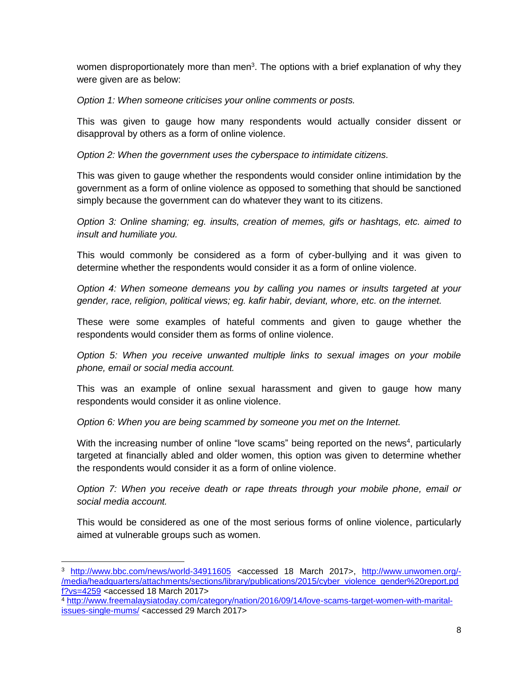women disproportionately more than men<sup>3</sup>. The options with a brief explanation of why they were given are as below:

*Option 1: When someone criticises your online comments or posts.* 

This was given to gauge how many respondents would actually consider dissent or disapproval by others as a form of online violence.

*Option 2: When the government uses the cyberspace to intimidate citizens.*

This was given to gauge whether the respondents would consider online intimidation by the government as a form of online violence as opposed to something that should be sanctioned simply because the government can do whatever they want to its citizens.

*Option 3: Online shaming; eg. insults, creation of memes, gifs or hashtags, etc. aimed to insult and humiliate you.*

This would commonly be considered as a form of cyber-bullying and it was given to determine whether the respondents would consider it as a form of online violence.

*Option 4: When someone demeans you by calling you names or insults targeted at your gender, race, religion, political views; eg. kafir habir, deviant, whore, etc. on the internet.*

These were some examples of hateful comments and given to gauge whether the respondents would consider them as forms of online violence.

*Option 5: When you receive unwanted multiple links to sexual images on your mobile phone, email or social media account.*

This was an example of online sexual harassment and given to gauge how many respondents would consider it as online violence.

*Option 6: When you are being scammed by someone you met on the Internet.*

With the increasing number of online "love scams" being reported on the news<sup>4</sup>, particularly targeted at financially abled and older women, this option was given to determine whether the respondents would consider it as a form of online violence.

*Option 7: When you receive death or rape threats through your mobile phone, email or social media account.*

This would be considered as one of the most serious forms of online violence, particularly aimed at vulnerable groups such as women.

 $\overline{a}$ 

<sup>3</sup> <http://www.bbc.com/news/world-34911605> <accessed 18 March 2017>, [http://www.unwomen.org/-](http://www.unwomen.org/-/media/headquarters/attachments/sections/library/publications/2015/cyber_violence_gender%20report.pdf?vs=4259) [/media/headquarters/attachments/sections/library/publications/2015/cyber\\_violence\\_gender%20report.pd](http://www.unwomen.org/-/media/headquarters/attachments/sections/library/publications/2015/cyber_violence_gender%20report.pdf?vs=4259) [f?vs=4259](http://www.unwomen.org/-/media/headquarters/attachments/sections/library/publications/2015/cyber_violence_gender%20report.pdf?vs=4259) <accessed 18 March 2017>

<sup>4</sup> [http://www.freemalaysiatoday.com/category/nation/2016/09/14/love-scams-target-women-with-marital](http://www.freemalaysiatoday.com/category/nation/2016/09/14/love-scams-target-women-with-marital-issues-single-mums/)[issues-single-mums/](http://www.freemalaysiatoday.com/category/nation/2016/09/14/love-scams-target-women-with-marital-issues-single-mums/) <accessed 29 March 2017>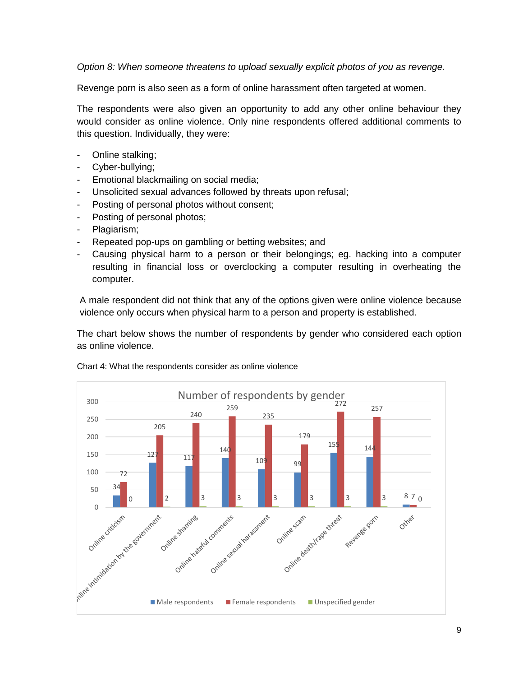*Option 8: When someone threatens to upload sexually explicit photos of you as revenge.*

Revenge porn is also seen as a form of online harassment often targeted at women.

The respondents were also given an opportunity to add any other online behaviour they would consider as online violence. Only nine respondents offered additional comments to this question. Individually, they were:

- Online stalking;
- Cyber-bullying;
- Emotional blackmailing on social media;
- Unsolicited sexual advances followed by threats upon refusal;
- Posting of personal photos without consent;
- Posting of personal photos;
- Plagiarism;
- Repeated pop-ups on gambling or betting websites; and
- Causing physical harm to a person or their belongings; eg. hacking into a computer resulting in financial loss or overclocking a computer resulting in overheating the computer.

A male respondent did not think that any of the options given were online violence because violence only occurs when physical harm to a person and property is established.

The chart below shows the number of respondents by gender who considered each option as online violence.



#### Chart 4: What the respondents consider as online violence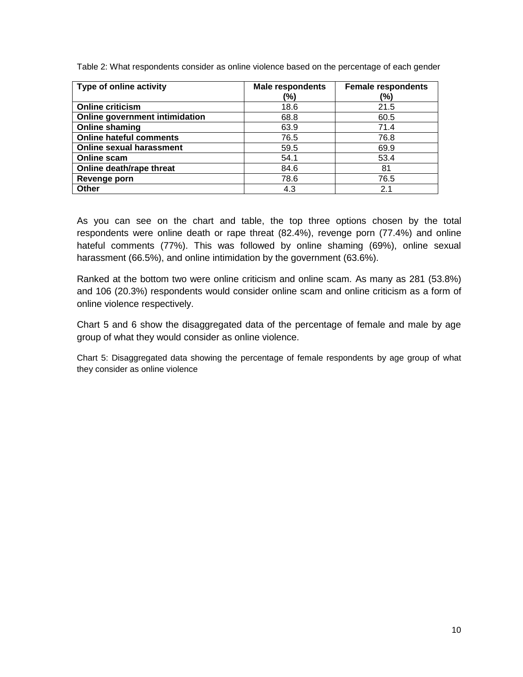Table 2: What respondents consider as online violence based on the percentage of each gender

| Type of online activity         | <b>Male respondents</b> | <b>Female respondents</b> |
|---------------------------------|-------------------------|---------------------------|
|                                 | (%)                     | (%)                       |
| <b>Online criticism</b>         | 18.6                    | 21.5                      |
| Online government intimidation  | 68.8                    | 60.5                      |
| <b>Online shaming</b>           | 63.9                    | 71.4                      |
| <b>Online hateful comments</b>  | 76.5                    | 76.8                      |
| <b>Online sexual harassment</b> | 59.5                    | 69.9                      |
| Online scam                     | 54.1                    | 53.4                      |
| Online death/rape threat        | 84.6                    | 81                        |
| Revenge porn                    | 78.6                    | 76.5                      |
| <b>Other</b>                    | 4.3                     | 2.1                       |

As you can see on the chart and table, the top three options chosen by the total respondents were online death or rape threat (82.4%), revenge porn (77.4%) and online hateful comments (77%). This was followed by online shaming (69%), online sexual harassment (66.5%), and online intimidation by the government (63.6%).

Ranked at the bottom two were online criticism and online scam. As many as 281 (53.8%) and 106 (20.3%) respondents would consider online scam and online criticism as a form of online violence respectively.

Chart 5 and 6 show the disaggregated data of the percentage of female and male by age group of what they would consider as online violence.

Chart 5: Disaggregated data showing the percentage of female respondents by age group of what they consider as online violence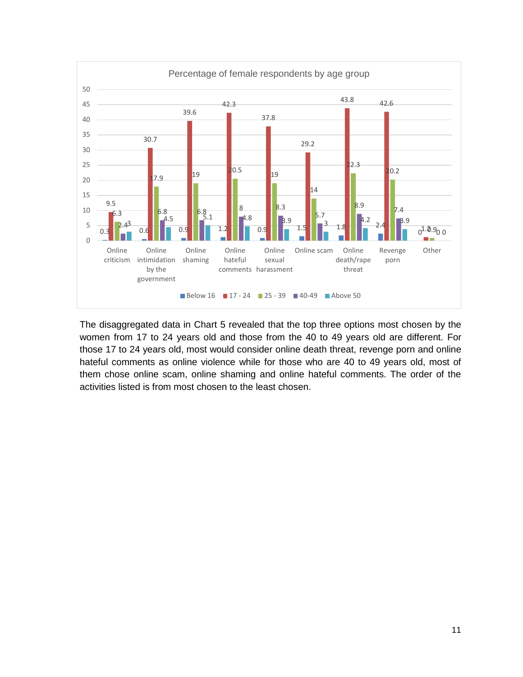

The disaggregated data in Chart 5 revealed that the top three options most chosen by the women from 17 to 24 years old and those from the 40 to 49 years old are different. For those 17 to 24 years old, most would consider online death threat, revenge porn and online hateful comments as online violence while for those who are 40 to 49 years old, most of them chose online scam, online shaming and online hateful comments. The order of the activities listed is from most chosen to the least chosen.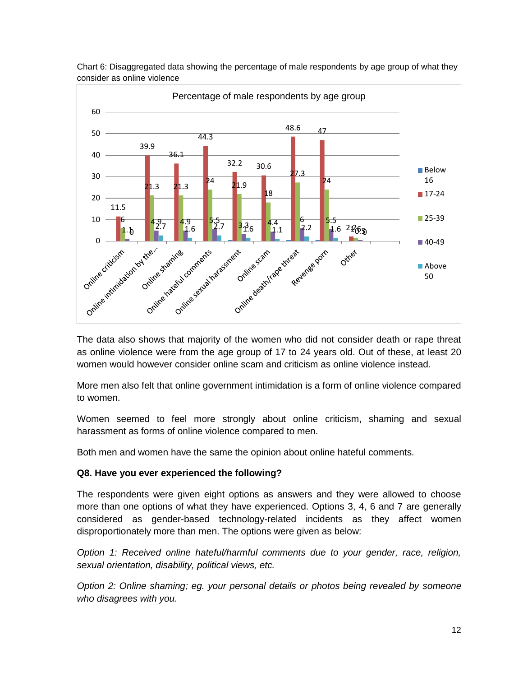

Chart 6: Disaggregated data showing the percentage of male respondents by age group of what they consider as online violence

The data also shows that majority of the women who did not consider death or rape threat as online violence were from the age group of 17 to 24 years old. Out of these, at least 20 women would however consider online scam and criticism as online violence instead.

More men also felt that online government intimidation is a form of online violence compared to women.

Women seemed to feel more strongly about online criticism, shaming and sexual harassment as forms of online violence compared to men.

Both men and women have the same the opinion about online hateful comments.

# **Q8. Have you ever experienced the following?**

The respondents were given eight options as answers and they were allowed to choose more than one options of what they have experienced. Options 3, 4, 6 and 7 are generally considered as gender-based technology-related incidents as they affect women disproportionately more than men. The options were given as below:

*Option 1: Received online hateful/harmful comments due to your gender, race, religion, sexual orientation, disability, political views, etc.*

*Option 2: Online shaming; eg. your personal details or photos being revealed by someone who disagrees with you.*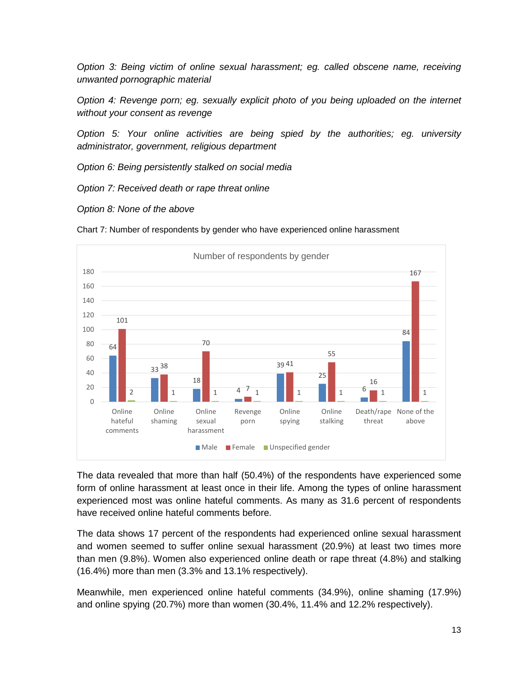*Option 3: Being victim of online sexual harassment; eg. called obscene name, receiving unwanted pornographic material*

*Option 4: Revenge porn; eg. sexually explicit photo of you being uploaded on the internet without your consent as revenge*

*Option 5: Your online activities are being spied by the authorities; eg. university administrator, government, religious department*

*Option 6: Being persistently stalked on social media*

*Option 7: Received death or rape threat online*

*Option 8: None of the above*





The data revealed that more than half (50.4%) of the respondents have experienced some form of online harassment at least once in their life. Among the types of online harassment experienced most was online hateful comments. As many as 31.6 percent of respondents have received online hateful comments before.

The data shows 17 percent of the respondents had experienced online sexual harassment and women seemed to suffer online sexual harassment (20.9%) at least two times more than men (9.8%). Women also experienced online death or rape threat (4.8%) and stalking (16.4%) more than men (3.3% and 13.1% respectively).

Meanwhile, men experienced online hateful comments (34.9%), online shaming (17.9%) and online spying (20.7%) more than women (30.4%, 11.4% and 12.2% respectively).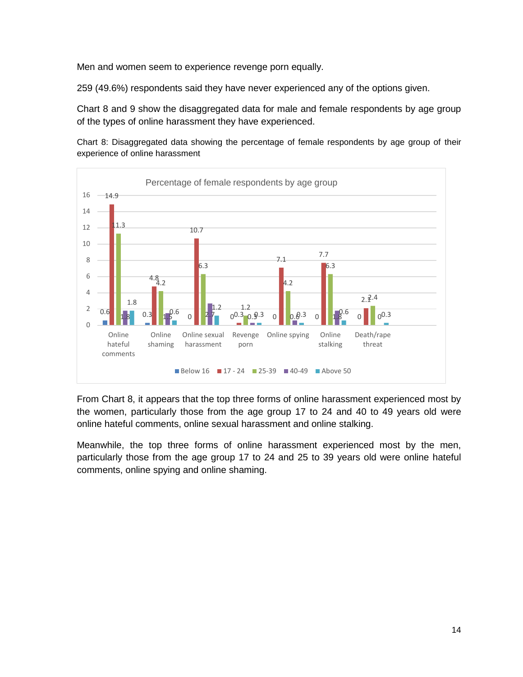Men and women seem to experience revenge porn equally.

259 (49.6%) respondents said they have never experienced any of the options given.

Chart 8 and 9 show the disaggregated data for male and female respondents by age group of the types of online harassment they have experienced.

Chart 8: Disaggregated data showing the percentage of female respondents by age group of their experience of online harassment



From Chart 8, it appears that the top three forms of online harassment experienced most by the women, particularly those from the age group 17 to 24 and 40 to 49 years old were online hateful comments, online sexual harassment and online stalking.

Meanwhile, the top three forms of online harassment experienced most by the men, particularly those from the age group 17 to 24 and 25 to 39 years old were online hateful comments, online spying and online shaming.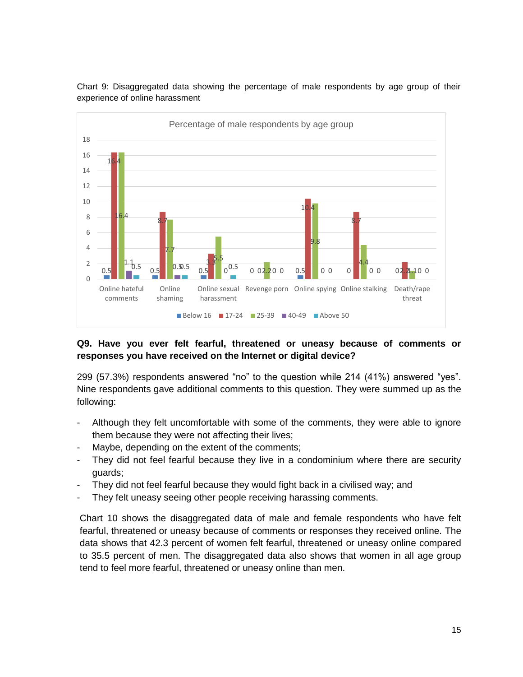

Chart 9: Disaggregated data showing the percentage of male respondents by age group of their experience of online harassment

# **Q9. Have you ever felt fearful, threatened or uneasy because of comments or responses you have received on the Internet or digital device?**

299 (57.3%) respondents answered "no" to the question while 214 (41%) answered "yes". Nine respondents gave additional comments to this question. They were summed up as the following:

- Although they felt uncomfortable with some of the comments, they were able to ignore them because they were not affecting their lives;
- Maybe, depending on the extent of the comments;
- They did not feel fearful because they live in a condominium where there are security guards;
- They did not feel fearful because they would fight back in a civilised way; and
- They felt uneasy seeing other people receiving harassing comments.

Chart 10 shows the disaggregated data of male and female respondents who have felt fearful, threatened or uneasy because of comments or responses they received online. The data shows that 42.3 percent of women felt fearful, threatened or uneasy online compared to 35.5 percent of men. The disaggregated data also shows that women in all age group tend to feel more fearful, threatened or uneasy online than men.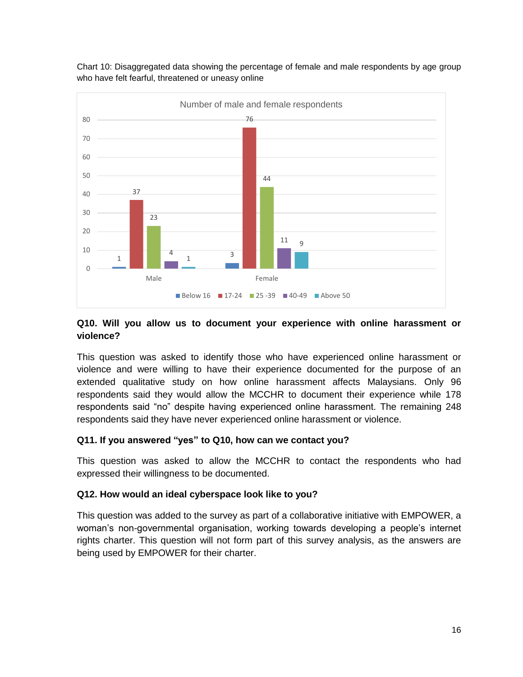

Chart 10: Disaggregated data showing the percentage of female and male respondents by age group who have felt fearful, threatened or uneasy online

### **Q10. Will you allow us to document your experience with online harassment or violence?**

This question was asked to identify those who have experienced online harassment or violence and were willing to have their experience documented for the purpose of an extended qualitative study on how online harassment affects Malaysians. Only 96 respondents said they would allow the MCCHR to document their experience while 178 respondents said "no" despite having experienced online harassment. The remaining 248 respondents said they have never experienced online harassment or violence.

# **Q11. If you answered "yes" to Q10, how can we contact you?**

This question was asked to allow the MCCHR to contact the respondents who had expressed their willingness to be documented.

# **Q12. How would an ideal cyberspace look like to you?**

This question was added to the survey as part of a collaborative initiative with EMPOWER, a woman's non-governmental organisation, working towards developing a people's internet rights charter. This question will not form part of this survey analysis, as the answers are being used by EMPOWER for their charter.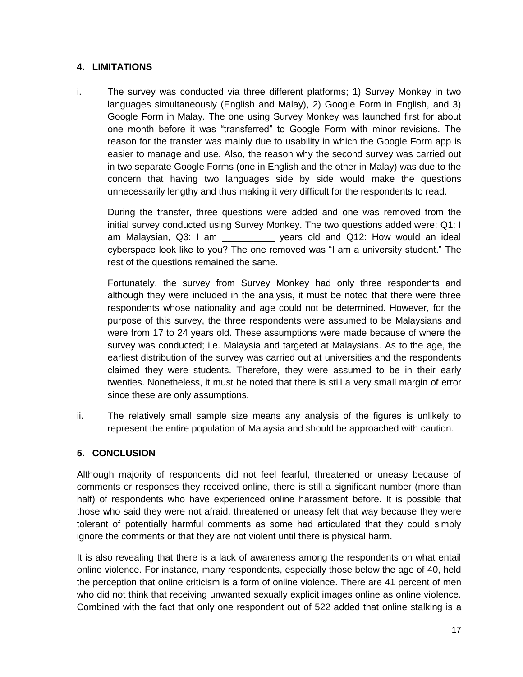# **4. LIMITATIONS**

i. The survey was conducted via three different platforms; 1) Survey Monkey in two languages simultaneously (English and Malay), 2) Google Form in English, and 3) Google Form in Malay. The one using Survey Monkey was launched first for about one month before it was "transferred" to Google Form with minor revisions. The reason for the transfer was mainly due to usability in which the Google Form app is easier to manage and use. Also, the reason why the second survey was carried out in two separate Google Forms (one in English and the other in Malay) was due to the concern that having two languages side by side would make the questions unnecessarily lengthy and thus making it very difficult for the respondents to read.

During the transfer, three questions were added and one was removed from the initial survey conducted using Survey Monkey. The two questions added were: Q1: I am Malaysian, Q3: I am \_\_\_\_\_\_\_\_\_\_ years old and Q12: How would an ideal cyberspace look like to you? The one removed was "I am a university student." The rest of the questions remained the same.

Fortunately, the survey from Survey Monkey had only three respondents and although they were included in the analysis, it must be noted that there were three respondents whose nationality and age could not be determined. However, for the purpose of this survey, the three respondents were assumed to be Malaysians and were from 17 to 24 years old. These assumptions were made because of where the survey was conducted; i.e. Malaysia and targeted at Malaysians. As to the age, the earliest distribution of the survey was carried out at universities and the respondents claimed they were students. Therefore, they were assumed to be in their early twenties. Nonetheless, it must be noted that there is still a very small margin of error since these are only assumptions.

ii. The relatively small sample size means any analysis of the figures is unlikely to represent the entire population of Malaysia and should be approached with caution.

#### **5. CONCLUSION**

Although majority of respondents did not feel fearful, threatened or uneasy because of comments or responses they received online, there is still a significant number (more than half) of respondents who have experienced online harassment before. It is possible that those who said they were not afraid, threatened or uneasy felt that way because they were tolerant of potentially harmful comments as some had articulated that they could simply ignore the comments or that they are not violent until there is physical harm.

It is also revealing that there is a lack of awareness among the respondents on what entail online violence. For instance, many respondents, especially those below the age of 40, held the perception that online criticism is a form of online violence. There are 41 percent of men who did not think that receiving unwanted sexually explicit images online as online violence. Combined with the fact that only one respondent out of 522 added that online stalking is a